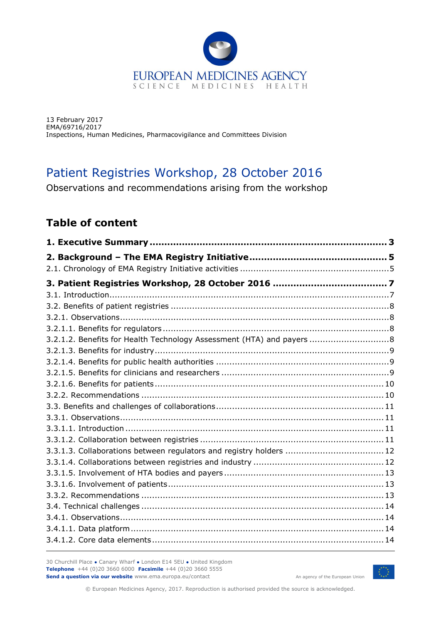

13 February 2017 EMA/69716/2017 Inspections, Human Medicines, Pharmacovigilance and Committees Division

# Patient Registries Workshop, 28 October 2016

Observations and recommendations arising from the workshop

## **Table of content**

| 3.2.1.2. Benefits for Health Technology Assessment (HTA) and payers  8 |  |
|------------------------------------------------------------------------|--|
|                                                                        |  |
|                                                                        |  |
|                                                                        |  |
|                                                                        |  |
|                                                                        |  |
|                                                                        |  |
|                                                                        |  |
|                                                                        |  |
|                                                                        |  |
| 3.3.1.3. Collaborations between regulators and registry holders  12    |  |
|                                                                        |  |
|                                                                        |  |
|                                                                        |  |
|                                                                        |  |
|                                                                        |  |
|                                                                        |  |
|                                                                        |  |
|                                                                        |  |

30 Churchill Place **●** Canary Wharf **●** London E14 5EU **●** United Kingdom **Telephone** +44 (0)20 3660 6000 **Facsimile** +44 (0)20 3660 5555 **Send a question via our website** www.ema.europa.eu/contact



An agency of the European Union

© European Medicines Agency, 2017. Reproduction is authorised provided the source is acknowledged.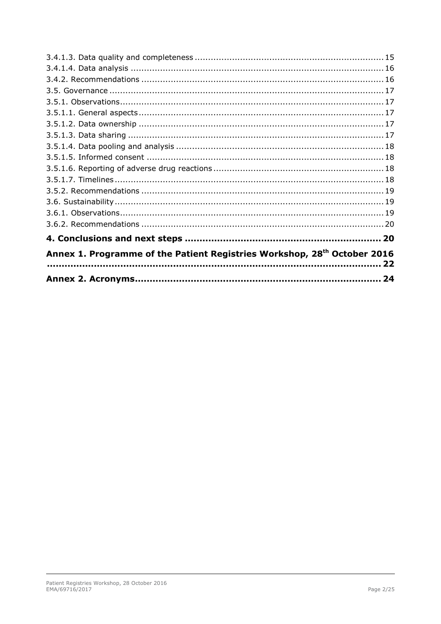|                                                                                            | 24 |  |
|--------------------------------------------------------------------------------------------|----|--|
| Annex 1. Programme of the Patient Registries Workshop, 28 <sup>th</sup> October 2016<br>22 |    |  |
|                                                                                            |    |  |
|                                                                                            |    |  |
|                                                                                            |    |  |
|                                                                                            |    |  |
|                                                                                            |    |  |
|                                                                                            |    |  |
|                                                                                            |    |  |
|                                                                                            |    |  |
|                                                                                            |    |  |
|                                                                                            |    |  |
|                                                                                            |    |  |
|                                                                                            |    |  |
|                                                                                            |    |  |
|                                                                                            |    |  |
|                                                                                            |    |  |
|                                                                                            |    |  |
|                                                                                            |    |  |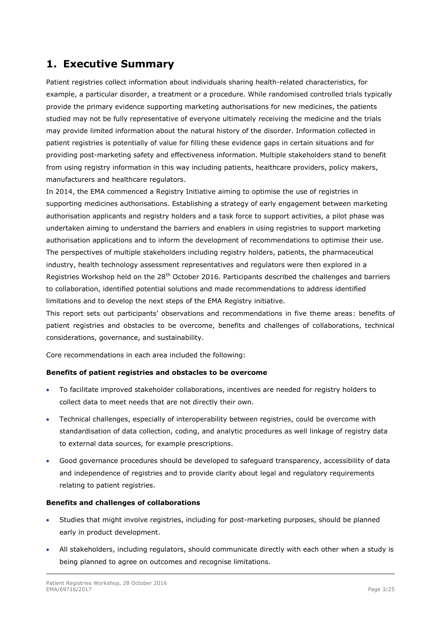## <span id="page-2-0"></span>**1. Executive Summary**

Patient registries collect information about individuals sharing health-related characteristics, for example, a particular disorder, a treatment or a procedure. While randomised controlled trials typically provide the primary evidence supporting marketing authorisations for new medicines, the patients studied may not be fully representative of everyone ultimately receiving the medicine and the trials may provide limited information about the natural history of the disorder. Information collected in patient registries is potentially of value for filling these evidence gaps in certain situations and for providing post-marketing safety and effectiveness information. Multiple stakeholders stand to benefit from using registry information in this way including patients, healthcare providers, policy makers, manufacturers and healthcare regulators.

In 2014, the EMA commenced a Registry Initiative aiming to optimise the use of registries in supporting medicines authorisations. Establishing a strategy of early engagement between marketing authorisation applicants and registry holders and a task force to support activities, a pilot phase was undertaken aiming to understand the barriers and enablers in using registries to support marketing authorisation applications and to inform the development of recommendations to optimise their use. The perspectives of multiple stakeholders including registry holders, patients, the pharmaceutical industry, health technology assessment representatives and regulators were then explored in a Registries Workshop held on the 28<sup>th</sup> October 2016. Participants described the challenges and barriers to collaboration, identified potential solutions and made recommendations to address identified limitations and to develop the next steps of the EMA Registry initiative.

This report sets out participants' observations and recommendations in five theme areas: benefits of patient registries and obstacles to be overcome, benefits and challenges of collaborations, technical considerations, governance, and sustainability.

Core recommendations in each area included the following:

#### **Benefits of patient registries and obstacles to be overcome**

- To facilitate improved stakeholder collaborations, incentives are needed for registry holders to collect data to meet needs that are not directly their own.
- Technical challenges, especially of interoperability between registries, could be overcome with standardisation of data collection, coding, and analytic procedures as well linkage of registry data to external data sources, for example prescriptions.
- Good governance procedures should be developed to safeguard transparency, accessibility of data and independence of registries and to provide clarity about legal and regulatory requirements relating to patient registries.

#### **Benefits and challenges of collaborations**

- Studies that might involve registries, including for post-marketing purposes, should be planned early in product development.
- All stakeholders, including regulators, should communicate directly with each other when a study is being planned to agree on outcomes and recognise limitations.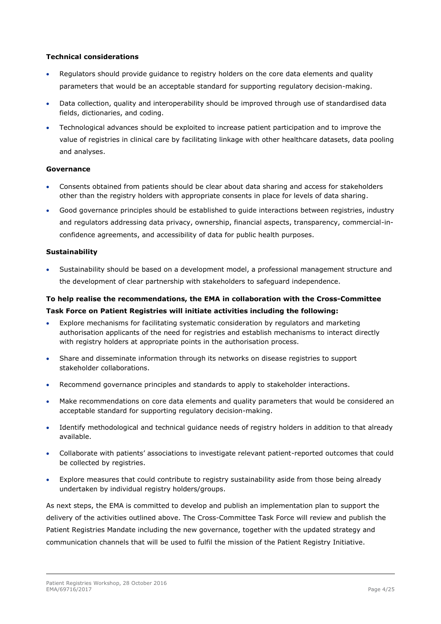#### **Technical considerations**

- Regulators should provide guidance to registry holders on the core data elements and quality parameters that would be an acceptable standard for supporting regulatory decision-making.
- Data collection, quality and interoperability should be improved through use of standardised data fields, dictionaries, and coding.
- Technological advances should be exploited to increase patient participation and to improve the value of registries in clinical care by facilitating linkage with other healthcare datasets, data pooling and analyses.

#### **Governance**

- Consents obtained from patients should be clear about data sharing and access for stakeholders other than the registry holders with appropriate consents in place for levels of data sharing.
- Good governance principles should be established to guide interactions between registries, industry and regulators addressing data privacy, ownership, financial aspects, transparency, commercial-inconfidence agreements, and accessibility of data for public health purposes.

#### **Sustainability**

 Sustainability should be based on a development model, a professional management structure and the development of clear partnership with stakeholders to safeguard independence.

### **To help realise the recommendations, the EMA in collaboration with the Cross-Committee Task Force on Patient Registries will initiate activities including the following:**

- Explore mechanisms for facilitating systematic consideration by regulators and marketing authorisation applicants of the need for registries and establish mechanisms to interact directly with registry holders at appropriate points in the authorisation process.
- Share and disseminate information through its networks on disease registries to support stakeholder collaborations.
- Recommend governance principles and standards to apply to stakeholder interactions.
- Make recommendations on core data elements and quality parameters that would be considered an acceptable standard for supporting regulatory decision-making.
- Identify methodological and technical guidance needs of registry holders in addition to that already available.
- Collaborate with patients' associations to investigate relevant patient-reported outcomes that could be collected by registries.
- Explore measures that could contribute to registry sustainability aside from those being already undertaken by individual registry holders/groups.

As next steps, the EMA is committed to develop and publish an implementation plan to support the delivery of the activities outlined above. The Cross-Committee Task Force will review and publish the Patient Registries Mandate including the new governance, together with the updated strategy and communication channels that will be used to fulfil the mission of the Patient Registry Initiative.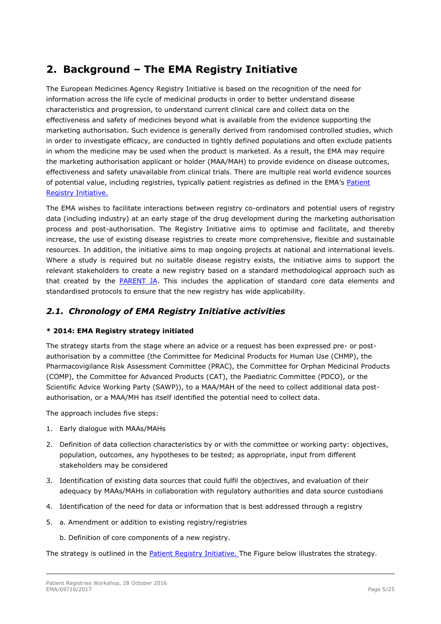## <span id="page-4-0"></span>**2. Background – The EMA Registry Initiative**

The European Medicines Agency Registry Initiative is based on the recognition of the need for information across the life cycle of medicinal products in order to better understand disease characteristics and progression, to understand current clinical care and collect data on the effectiveness and safety of medicines beyond what is available from the evidence supporting the marketing authorisation. Such evidence is generally derived from randomised controlled studies, which in order to investigate efficacy, are conducted in tightly defined populations and often exclude patients in whom the medicine may be used when the product is marketed. As a result, the EMA may require the marketing authorisation applicant or holder (MAA/MAH) to provide evidence on disease outcomes, effectiveness and safety unavailable from clinical trials. There are multiple real world evidence sources of potential value, including registries, typically patient registries as defined in the EMA's Patient [Registry Initiative.](http://www.ema.europa.eu/docs/en_GB/document_library/Other/2015/10/WC500195576.pdf)

The EMA wishes to facilitate interactions between registry co-ordinators and potential users of registry data (including industry) at an early stage of the drug development during the marketing authorisation process and post-authorisation. The Registry Initiative aims to optimise and facilitate, and thereby increase, the use of existing disease registries to create more comprehensive, flexible and sustainable resources. In addition, the initiative aims to map ongoing projects at national and international levels. Where a study is required but no suitable disease registry exists, the initiative aims to support the relevant stakeholders to create a new registry based on a standard methodological approach such as that created by the [PARENT JA.](http://patientregistries.eu/deliverables) This includes the application of standard core data elements and standardised protocols to ensure that the new registry has wide applicability.

## <span id="page-4-1"></span>*2.1. Chronology of EMA Registry Initiative activities*

#### **\* 2014: EMA Registry strategy initiated**

The strategy starts from the stage where an advice or a request has been expressed pre- or postauthorisation by a committee (the Committee for Medicinal Products for Human Use (CHMP), the Pharmacovigilance Risk Assessment Committee (PRAC), the Committee for Orphan Medicinal Products (COMP), the Committee for Advanced Products (CAT), the Paediatric Committee (PDCO), or the Scientific Advice Working Party (SAWP)), to a MAA/MAH of the need to collect additional data postauthorisation, or a MAA/MH has itself identified the potential need to collect data.

The approach includes five steps:

- 1. Early dialogue with MAAs/MAHs
- 2. Definition of data collection characteristics by or with the committee or working party: objectives, population, outcomes, any hypotheses to be tested; as appropriate, input from different stakeholders may be considered
- 3. Identification of existing data sources that could fulfil the objectives, and evaluation of their adequacy by MAAs/MAHs in collaboration with regulatory authorities and data source custodians
- 4. Identification of the need for data or information that is best addressed through a registry
- 5. a. Amendment or addition to existing registry/registries
	- b. Definition of core components of a new registry.

The strategy is outlined in the [Patient Registry Initiative.](http://www.ema.europa.eu/docs/en_GB/document_library/Other/2015/10/WC500195576.pdf) The Figure below illustrates the strategy.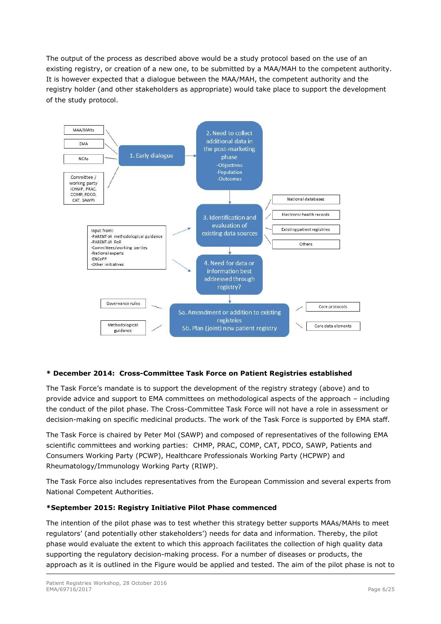The output of the process as described above would be a study protocol based on the use of an existing registry, or creation of a new one, to be submitted by a MAA/MAH to the competent authority. It is however expected that a dialogue between the MAA/MAH, the competent authority and the registry holder (and other stakeholders as appropriate) would take place to support the development of the study protocol.



#### **\* December 2014: Cross-Committee Task Force on Patient Registries established**

The Task Force's mandate is to support the development of the registry strategy (above) and to provide advice and support to EMA committees on methodological aspects of the approach – including the conduct of the pilot phase. The Cross-Committee Task Force will not have a role in assessment or decision-making on specific medicinal products. The work of the Task Force is supported by EMA staff.

The Task Force is chaired by Peter Mol (SAWP) and composed of representatives of the following EMA scientific committees and working parties: CHMP, PRAC, COMP, CAT, PDCO, SAWP, Patients and Consumers Working Party (PCWP), Healthcare Professionals Working Party (HCPWP) and Rheumatology/Immunology Working Party (RIWP).

The Task Force also includes representatives from the European Commission and several experts from National Competent Authorities.

#### **\*September 2015: Registry Initiative Pilot Phase commenced**

The intention of the pilot phase was to test whether this strategy better supports MAAs/MAHs to meet regulators' (and potentially other stakeholders') needs for data and information. Thereby, the pilot phase would evaluate the extent to which this approach facilitates the collection of high quality data supporting the regulatory decision-making process. For a number of diseases or products, the approach as it is outlined in the Figure would be applied and tested. The aim of the pilot phase is not to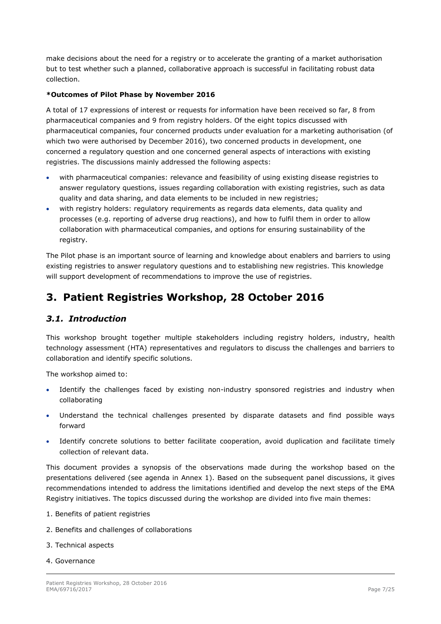make decisions about the need for a registry or to accelerate the granting of a market authorisation but to test whether such a planned, collaborative approach is successful in facilitating robust data collection.

#### **\*Outcomes of Pilot Phase by November 2016**

A total of 17 expressions of interest or requests for information have been received so far, 8 from pharmaceutical companies and 9 from registry holders. Of the eight topics discussed with pharmaceutical companies, four concerned products under evaluation for a marketing authorisation (of which two were authorised by December 2016), two concerned products in development, one concerned a regulatory question and one concerned general aspects of interactions with existing registries. The discussions mainly addressed the following aspects:

- with pharmaceutical companies: relevance and feasibility of using existing disease registries to answer regulatory questions, issues regarding collaboration with existing registries, such as data quality and data sharing, and data elements to be included in new registries;
- with registry holders: regulatory requirements as regards data elements, data quality and processes (e.g. reporting of adverse drug reactions), and how to fulfil them in order to allow collaboration with pharmaceutical companies, and options for ensuring sustainability of the registry.

The Pilot phase is an important source of learning and knowledge about enablers and barriers to using existing registries to answer regulatory questions and to establishing new registries. This knowledge will support development of recommendations to improve the use of registries.

## <span id="page-6-0"></span>**3. Patient Registries Workshop, 28 October 2016**

### <span id="page-6-1"></span>*3.1. Introduction*

This workshop brought together multiple stakeholders including registry holders, industry, health technology assessment (HTA) representatives and regulators to discuss the challenges and barriers to collaboration and identify specific solutions.

The workshop aimed to:

- Identify the challenges faced by existing non-industry sponsored registries and industry when collaborating
- Understand the technical challenges presented by disparate datasets and find possible ways forward
- Identify concrete solutions to better facilitate cooperation, avoid duplication and facilitate timely collection of relevant data.

This document provides a synopsis of the observations made during the workshop based on the presentations delivered (see agenda in Annex 1). Based on the subsequent panel discussions, it gives recommendations intended to address the limitations identified and develop the next steps of the EMA Registry initiatives. The topics discussed during the workshop are divided into five main themes:

- 1. Benefits of patient registries
- 2. Benefits and challenges of collaborations
- 3. Technical aspects
- 4. Governance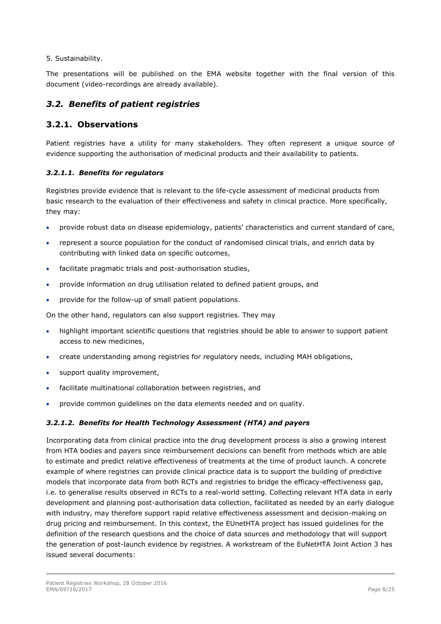#### 5. Sustainability.

The presentations will be published on the EMA website together with the final version of this document (video-recordings are already available).

### <span id="page-7-0"></span>*3.2. Benefits of patient registries*

#### <span id="page-7-1"></span>**3.2.1. Observations**

Patient registries have a utility for many stakeholders. They often represent a unique source of evidence supporting the authorisation of medicinal products and their availability to patients.

#### <span id="page-7-2"></span>*3.2.1.1. Benefits for regulators*

Registries provide evidence that is relevant to the life-cycle assessment of medicinal products from basic research to the evaluation of their effectiveness and safety in clinical practice. More specifically, they may:

- provide robust data on disease epidemiology, patients' characteristics and current standard of care,
- represent a source population for the conduct of randomised clinical trials, and enrich data by contributing with linked data on specific outcomes,
- facilitate pragmatic trials and post-authorisation studies,
- provide information on drug utilisation related to defined patient groups, and
- provide for the follow-up of small patient populations.

On the other hand, regulators can also support registries. They may

- highlight important scientific questions that registries should be able to answer to support patient access to new medicines,
- create understanding among registries for regulatory needs, including MAH obligations,
- support quality improvement,
- facilitate multinational collaboration between registries, and
- provide common guidelines on the data elements needed and on quality.

#### <span id="page-7-3"></span>*3.2.1.2. Benefits for Health Technology Assessment (HTA) and payers*

Incorporating data from clinical practice into the drug development process is also a growing interest from HTA bodies and payers since reimbursement decisions can benefit from methods which are able to estimate and predict relative effectiveness of treatments at the time of product launch. A concrete example of where registries can provide clinical practice data is to support the building of predictive models that incorporate data from both RCTs and registries to bridge the efficacy-effectiveness gap, i.e. to generalise results observed in RCTs to a real-world setting. Collecting relevant HTA data in early development and planning post-authorisation data collection, facilitated as needed by an early dialogue with industry, may therefore support rapid relative effectiveness assessment and decision-making on drug pricing and reimbursement. In this context, the EUnetHTA project has issued guidelines for the definition of the research questions and the choice of data sources and methodology that will support the generation of post-launch evidence by registries. A workstream of the EuNetHTA Joint Action 3 has issued several documents: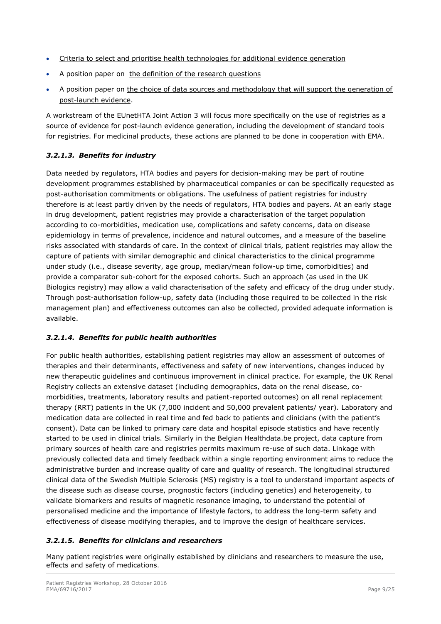- [Criteria to select and prioritise health technologies for additional evidence generation](http://www.eunethta.eu/outputs/criteria-select-and-prioritise-health-technologies-additional-evidence-generation)
- A position paper on [the definition of the research questions](http://eunethta.eu/outputs/eunethta-position-paper-research-recommendations-aeg)
- A position paper on [the choice of data sources and methodology that will support the generation of](http://www.eunethta.eu/outputs/wp7-sg2-position-paper-how-decide-appropriate-study-design-aeg-available)  [post-launch evidence.](http://www.eunethta.eu/outputs/wp7-sg2-position-paper-how-decide-appropriate-study-design-aeg-available)

A workstream of the EUnetHTA Joint Action 3 will focus more specifically on the use of registries as a source of evidence for post-launch evidence generation, including the development of standard tools for registries. For medicinal products, these actions are planned to be done in cooperation with EMA.

#### <span id="page-8-0"></span>*3.2.1.3. Benefits for industry*

Data needed by regulators, HTA bodies and payers for decision-making may be part of routine development programmes established by pharmaceutical companies or can be specifically requested as post-authorisation commitments or obligations. The usefulness of patient registries for industry therefore is at least partly driven by the needs of regulators, HTA bodies and payers. At an early stage in drug development, patient registries may provide a characterisation of the target population according to co-morbidities, medication use, complications and safety concerns, data on disease epidemiology in terms of prevalence, incidence and natural outcomes, and a measure of the baseline risks associated with standards of care. In the context of clinical trials, patient registries may allow the capture of patients with similar demographic and clinical characteristics to the clinical programme under study (i.e., disease severity, age group, median/mean follow-up time, comorbidities) and provide a comparator sub-cohort for the exposed cohorts. Such an approach (as used in the UK Biologics registry) may allow a valid characterisation of the safety and efficacy of the drug under study. Through post-authorisation follow-up, safety data (including those required to be collected in the risk management plan) and effectiveness outcomes can also be collected, provided adequate information is available.

#### <span id="page-8-1"></span>*3.2.1.4. Benefits for public health authorities*

For public health authorities, establishing patient registries may allow an assessment of outcomes of therapies and their determinants, effectiveness and safety of new interventions, changes induced by new therapeutic guidelines and continuous improvement in clinical practice. For example, the UK Renal Registry collects an extensive dataset (including demographics, data on the renal disease, comorbidities, treatments, laboratory results and patient-reported outcomes) on all renal replacement therapy (RRT) patients in the UK (7,000 incident and 50,000 prevalent patients/ year). Laboratory and medication data are collected in real time and fed back to patients and clinicians (with the patient's consent). Data can be linked to primary care data and hospital episode statistics and have recently started to be used in clinical trials. Similarly in the Belgian Healthdata.be project, data capture from primary sources of health care and registries permits maximum re-use of such data. Linkage with previously collected data and timely feedback within a single reporting environment aims to reduce the administrative burden and increase quality of care and quality of research. The longitudinal structured clinical data of the Swedish Multiple Sclerosis (MS) registry is a tool to understand important aspects of the disease such as disease course, prognostic factors (including genetics) and heterogeneity, to validate biomarkers and results of magnetic resonance imaging, to understand the potential of personalised medicine and the importance of lifestyle factors, to address the long-term safety and effectiveness of disease modifying therapies, and to improve the design of healthcare services.

#### <span id="page-8-2"></span>*3.2.1.5. Benefits for clinicians and researchers*

Many patient registries were originally established by clinicians and researchers to measure the use, effects and safety of medications.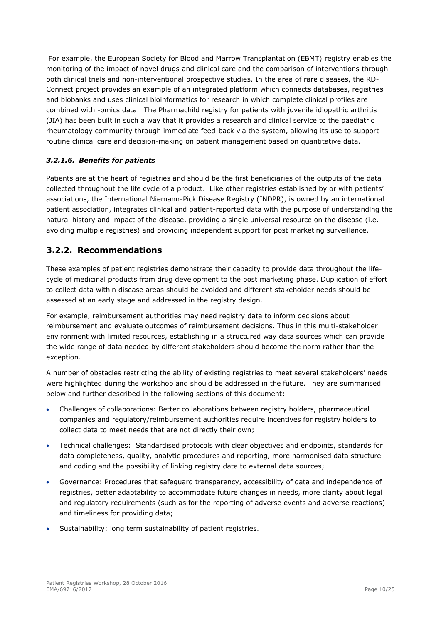For example, the European Society for Blood and Marrow Transplantation (EBMT) registry enables the monitoring of the impact of novel drugs and clinical care and the comparison of interventions through both clinical trials and non-interventional prospective studies. In the area of rare diseases, the RD-Connect project provides an example of an integrated platform which connects databases, registries and biobanks and uses clinical bioinformatics for research in which complete clinical profiles are combined with -omics data. The Pharmachild registry for patients with juvenile idiopathic arthritis (JIA) has been built in such a way that it provides a research and clinical service to the paediatric rheumatology community through immediate feed-back via the system, allowing its use to support routine clinical care and decision-making on patient management based on quantitative data.

#### <span id="page-9-0"></span>*3.2.1.6. Benefits for patients*

Patients are at the heart of registries and should be the first beneficiaries of the outputs of the data collected throughout the life cycle of a product. Like other registries established by or with patients' associations, the International Niemann-Pick Disease Registry (INDPR), is owned by an international patient association, integrates clinical and patient-reported data with the purpose of understanding the natural history and impact of the disease, providing a single universal resource on the disease (i.e. avoiding multiple registries) and providing independent support for post marketing surveillance.

## <span id="page-9-1"></span>**3.2.2. Recommendations**

These examples of patient registries demonstrate their capacity to provide data throughout the lifecycle of medicinal products from drug development to the post marketing phase. Duplication of effort to collect data within disease areas should be avoided and different stakeholder needs should be assessed at an early stage and addressed in the registry design.

For example, reimbursement authorities may need registry data to inform decisions about reimbursement and evaluate outcomes of reimbursement decisions. Thus in this multi-stakeholder environment with limited resources, establishing in a structured way data sources which can provide the wide range of data needed by different stakeholders should become the norm rather than the exception.

A number of obstacles restricting the ability of existing registries to meet several stakeholders' needs were highlighted during the workshop and should be addressed in the future. They are summarised below and further described in the following sections of this document:

- Challenges of collaborations: Better collaborations between registry holders, pharmaceutical companies and regulatory/reimbursement authorities require incentives for registry holders to collect data to meet needs that are not directly their own;
- Technical challenges: Standardised protocols with clear objectives and endpoints, standards for data completeness, quality, analytic procedures and reporting, more harmonised data structure and coding and the possibility of linking registry data to external data sources;
- Governance: Procedures that safeguard transparency, accessibility of data and independence of registries, better adaptability to accommodate future changes in needs, more clarity about legal and regulatory requirements (such as for the reporting of adverse events and adverse reactions) and timeliness for providing data;
- Sustainability: long term sustainability of patient registries.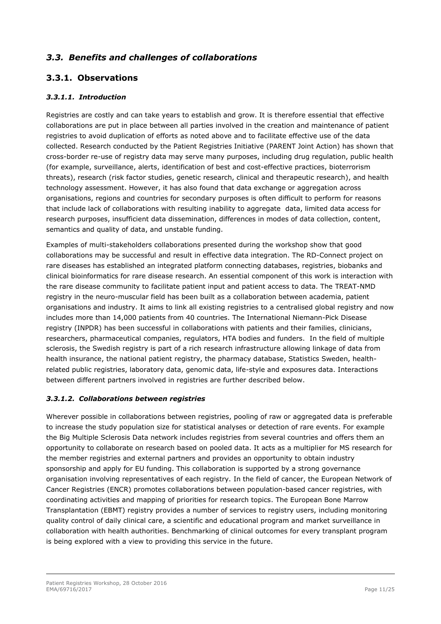## <span id="page-10-0"></span>*3.3. Benefits and challenges of collaborations*

## <span id="page-10-1"></span>**3.3.1. Observations**

#### <span id="page-10-2"></span>*3.3.1.1. Introduction*

Registries are costly and can take years to establish and grow. It is therefore essential that effective collaborations are put in place between all parties involved in the creation and maintenance of patient registries to avoid duplication of efforts as noted above and to facilitate effective use of the data collected. Research conducted by the Patient Registries Initiative (PARENT Joint Action) has shown that cross-border re-use of registry data may serve many purposes, including drug regulation, public health (for example, surveillance, alerts, identification of best and cost-effective practices, bioterrorism threats), research (risk factor studies, genetic research, clinical and therapeutic research), and health technology assessment. However, it has also found that data exchange or aggregation across organisations, regions and countries for secondary purposes is often difficult to perform for reasons that include lack of collaborations with resulting inability to aggregate data, limited data access for research purposes, insufficient data dissemination, differences in modes of data collection, content, semantics and quality of data, and unstable funding.

Examples of multi-stakeholders collaborations presented during the workshop show that good collaborations may be successful and result in effective data integration. The RD-Connect project on rare diseases has established an integrated platform connecting databases, registries, biobanks and clinical bioinformatics for rare disease research. An essential component of this work is interaction with the rare disease community to facilitate patient input and patient access to data. The TREAT-NMD registry in the neuro-muscular field has been built as a collaboration between academia, patient organisations and industry. It aims to link all existing registries to a centralised global registry and now includes more than 14,000 patients from 40 countries. The International Niemann-Pick Disease registry (INPDR) has been successful in collaborations with patients and their families, clinicians, researchers, pharmaceutical companies, regulators, HTA bodies and funders. In the field of multiple sclerosis, the Swedish registry is part of a rich research infrastructure allowing linkage of data from health insurance, the national patient registry, the pharmacy database, Statistics Sweden, healthrelated public registries, laboratory data, genomic data, life-style and exposures data. Interactions between different partners involved in registries are further described below.

#### <span id="page-10-3"></span>*3.3.1.2. Collaborations between registries*

Wherever possible in collaborations between registries, pooling of raw or aggregated data is preferable to increase the study population size for statistical analyses or detection of rare events. For example the Big Multiple Sclerosis Data network includes registries from several countries and offers them an opportunity to collaborate on research based on pooled data. It acts as a multiplier for MS research for the member registries and external partners and provides an opportunity to obtain industry sponsorship and apply for EU funding. This collaboration is supported by a strong governance organisation involving representatives of each registry. In the field of cancer, the European Network of Cancer Registries (ENCR) promotes collaborations between population-based cancer registries, with coordinating activities and mapping of priorities for research topics. The European Bone Marrow Transplantation (EBMT) registry provides a number of services to registry users, including monitoring quality control of daily clinical care, a scientific and educational program and market surveillance in collaboration with health authorities. Benchmarking of clinical outcomes for every transplant program is being explored with a view to providing this service in the future.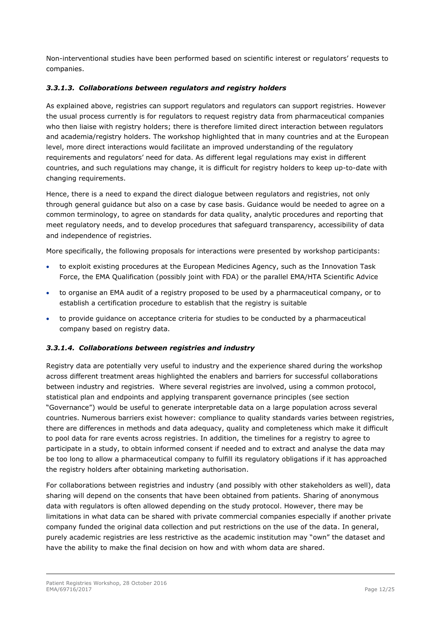Non-interventional studies have been performed based on scientific interest or regulators' requests to companies.

#### <span id="page-11-0"></span>*3.3.1.3. Collaborations between regulators and registry holders*

As explained above, registries can support regulators and regulators can support registries. However the usual process currently is for regulators to request registry data from pharmaceutical companies who then liaise with registry holders; there is therefore limited direct interaction between regulators and academia/registry holders. The workshop highlighted that in many countries and at the European level, more direct interactions would facilitate an improved understanding of the regulatory requirements and regulators' need for data. As different legal regulations may exist in different countries, and such regulations may change, it is difficult for registry holders to keep up-to-date with changing requirements.

Hence, there is a need to expand the direct dialogue between regulators and registries, not only through general guidance but also on a case by case basis. Guidance would be needed to agree on a common terminology, to agree on standards for data quality, analytic procedures and reporting that meet regulatory needs, and to develop procedures that safeguard transparency, accessibility of data and independence of registries.

More specifically, the following proposals for interactions were presented by workshop participants:

- to exploit existing procedures at the European Medicines Agency, such as the Innovation Task Force, the EMA Qualification (possibly joint with FDA) or the parallel EMA/HTA Scientific Advice
- to organise an EMA audit of a registry proposed to be used by a pharmaceutical company, or to establish a certification procedure to establish that the registry is suitable
- to provide guidance on acceptance criteria for studies to be conducted by a pharmaceutical company based on registry data.

#### <span id="page-11-1"></span>*3.3.1.4. Collaborations between registries and industry*

Registry data are potentially very useful to industry and the experience shared during the workshop across different treatment areas highlighted the enablers and barriers for successful collaborations between industry and registries. Where several registries are involved, using a common protocol, statistical plan and endpoints and applying transparent governance principles (see section "Governance") would be useful to generate interpretable data on a large population across several countries. Numerous barriers exist however: compliance to quality standards varies between registries, there are differences in methods and data adequacy, quality and completeness which make it difficult to pool data for rare events across registries. In addition, the timelines for a registry to agree to participate in a study, to obtain informed consent if needed and to extract and analyse the data may be too long to allow a pharmaceutical company to fulfill its regulatory obligations if it has approached the registry holders after obtaining marketing authorisation.

For collaborations between registries and industry (and possibly with other stakeholders as well), data sharing will depend on the consents that have been obtained from patients. Sharing of anonymous data with regulators is often allowed depending on the study protocol. However, there may be limitations in what data can be shared with private commercial companies especially if another private company funded the original data collection and put restrictions on the use of the data. In general, purely academic registries are less restrictive as the academic institution may "own" the dataset and have the ability to make the final decision on how and with whom data are shared.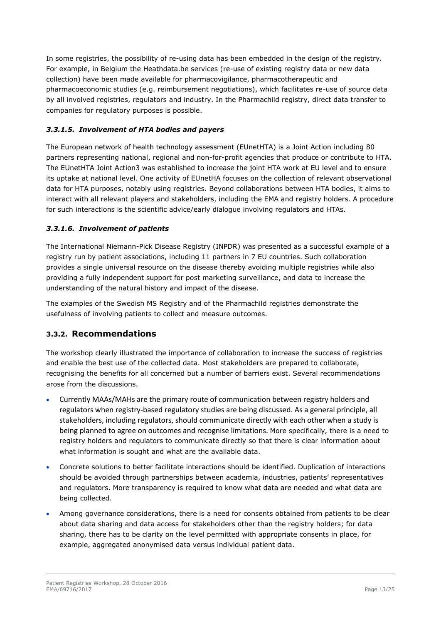In some registries, the possibility of re-using data has been embedded in the design of the registry. For example, in Belgium the Heathdata.be services (re-use of existing registry data or new data collection) have been made available for pharmacovigilance, pharmacotherapeutic and pharmacoeconomic studies (e.g. reimbursement negotiations), which facilitates re-use of source data by all involved registries, regulators and industry. In the Pharmachild registry, direct data transfer to companies for regulatory purposes is possible.

#### <span id="page-12-0"></span>*3.3.1.5. Involvement of HTA bodies and payers*

The European network of health technology assessment (EUnetHTA) is a Joint Action including 80 partners representing national, regional and non-for-profit agencies that produce or contribute to HTA. The EUnetHTA Joint Action3 was established to increase the joint HTA work at EU level and to ensure its uptake at national level. One activity of EUnetHA focuses on the collection of relevant observational data for HTA purposes, notably using registries. Beyond collaborations between HTA bodies, it aims to interact with all relevant players and stakeholders, including the EMA and registry holders. A procedure for such interactions is the scientific advice/early dialogue involving regulators and HTAs.

#### <span id="page-12-1"></span>*3.3.1.6. Involvement of patients*

The International Niemann-Pick Disease Registry (INPDR) was presented as a successful example of a registry run by patient associations, including 11 partners in 7 EU countries. Such collaboration provides a single universal resource on the disease thereby avoiding multiple registries while also providing a fully independent support for post marketing surveillance, and data to increase the understanding of the natural history and impact of the disease.

The examples of the Swedish MS Registry and of the Pharmachild registries demonstrate the usefulness of involving patients to collect and measure outcomes.

### <span id="page-12-2"></span>**3.3.2. Recommendations**

The workshop clearly illustrated the importance of collaboration to increase the success of registries and enable the best use of the collected data. Most stakeholders are prepared to collaborate, recognising the benefits for all concerned but a number of barriers exist. Several recommendations arose from the discussions.

- Currently MAAs/MAHs are the primary route of communication between registry holders and regulators when registry-based regulatory studies are being discussed. As a general principle, all stakeholders, including regulators, should communicate directly with each other when a study is being planned to agree on outcomes and recognise limitations. More specifically, there is a need to registry holders and regulators to communicate directly so that there is clear information about what information is sought and what are the available data.
- Concrete solutions to better facilitate interactions should be identified. Duplication of interactions should be avoided through partnerships between academia, industries, patients' representatives and regulators. More transparency is required to know what data are needed and what data are being collected.
- Among governance considerations, there is a need for consents obtained from patients to be clear about data sharing and data access for stakeholders other than the registry holders; for data sharing, there has to be clarity on the level permitted with appropriate consents in place, for example, aggregated anonymised data versus individual patient data.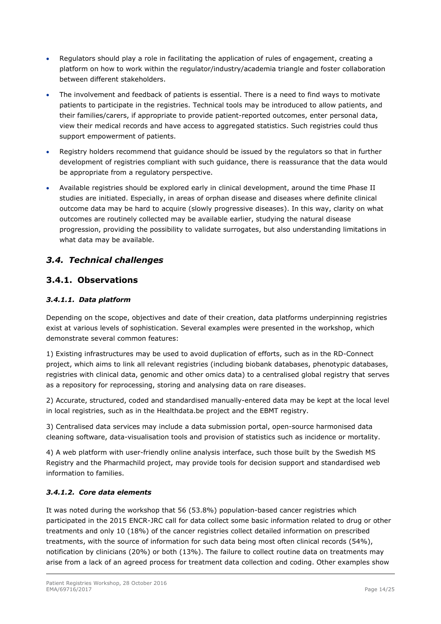- Regulators should play a role in facilitating the application of rules of engagement, creating a platform on how to work within the regulator/industry/academia triangle and foster collaboration between different stakeholders.
- The involvement and feedback of patients is essential. There is a need to find ways to motivate patients to participate in the registries. Technical tools may be introduced to allow patients, and their families/carers, if appropriate to provide patient-reported outcomes, enter personal data, view their medical records and have access to aggregated statistics. Such registries could thus support empowerment of patients.
- Registry holders recommend that guidance should be issued by the regulators so that in further development of registries compliant with such guidance, there is reassurance that the data would be appropriate from a regulatory perspective.
- Available registries should be explored early in clinical development, around the time Phase II studies are initiated. Especially, in areas of orphan disease and diseases where definite clinical outcome data may be hard to acquire (slowly progressive diseases). In this way, clarity on what outcomes are routinely collected may be available earlier, studying the natural disease progression, providing the possibility to validate surrogates, but also understanding limitations in what data may be available.

## <span id="page-13-0"></span>*3.4. Technical challenges*

## <span id="page-13-1"></span>**3.4.1. Observations**

#### <span id="page-13-2"></span>*3.4.1.1. Data platform*

Depending on the scope, objectives and date of their creation, data platforms underpinning registries exist at various levels of sophistication. Several examples were presented in the workshop, which demonstrate several common features:

1) Existing infrastructures may be used to avoid duplication of efforts, such as in the RD-Connect project, which aims to link all relevant registries (including biobank databases, phenotypic databases, registries with clinical data, genomic and other omics data) to a centralised global registry that serves as a repository for reprocessing, storing and analysing data on rare diseases.

2) Accurate, structured, coded and standardised manually-entered data may be kept at the local level in local registries, such as in the Healthdata.be project and the EBMT registry.

3) Centralised data services may include a data submission portal, open-source harmonised data cleaning software, data-visualisation tools and provision of statistics such as incidence or mortality.

4) A web platform with user-friendly online analysis interface, such those built by the Swedish MS Registry and the Pharmachild project, may provide tools for decision support and standardised web information to families.

#### <span id="page-13-3"></span>*3.4.1.2. Core data elements*

It was noted during the workshop that 56 (53.8%) population-based cancer registries which participated in the 2015 ENCR-JRC call for data collect some basic information related to drug or other treatments and only 10 (18%) of the cancer registries collect detailed information on prescribed treatments, with the source of information for such data being most often clinical records (54%), notification by clinicians (20%) or both (13%). The failure to collect routine data on treatments may arise from a lack of an agreed process for treatment data collection and coding. Other examples show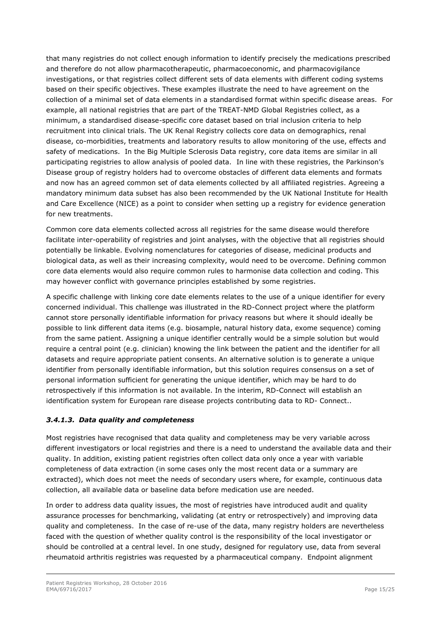that many registries do not collect enough information to identify precisely the medications prescribed and therefore do not allow pharmacotherapeutic, pharmacoeconomic, and pharmacovigilance investigations, or that registries collect different sets of data elements with different coding systems based on their specific objectives. These examples illustrate the need to have agreement on the collection of a minimal set of data elements in a standardised format within specific disease areas. For example, all national registries that are part of the TREAT-NMD Global Registries collect, as a minimum, a standardised disease-specific core dataset based on trial inclusion criteria to help recruitment into clinical trials. The UK Renal Registry collects core data on demographics, renal disease, co-morbidities, treatments and laboratory results to allow monitoring of the use, effects and safety of medications. In the Big Multiple Sclerosis Data registry, core data items are similar in all participating registries to allow analysis of pooled data. In line with these registries, the Parkinson's Disease group of registry holders had to overcome obstacles of different data elements and formats and now has an agreed common set of data elements collected by all affiliated registries. Agreeing a mandatory minimum data subset has also been recommended by the UK National Institute for Health and Care Excellence (NICE) as a point to consider when setting up a registry for evidence generation for new treatments.

Common core data elements collected across all registries for the same disease would therefore facilitate inter-operability of registries and joint analyses, with the objective that all registries should potentially be linkable. Evolving nomenclatures for categories of disease, medicinal products and biological data, as well as their increasing complexity, would need to be overcome. Defining common core data elements would also require common rules to harmonise data collection and coding. This may however conflict with governance principles established by some registries.

A specific challenge with linking core date elements relates to the use of a unique identifier for every concerned individual. This challenge was illustrated in the RD-Connect project where the platform cannot store personally identifiable information for privacy reasons but where it should ideally be possible to link different data items (e.g. biosample, natural history data, exome sequence) coming from the same patient. Assigning a unique identifier centrally would be a simple solution but would require a central point (e.g. clinician) knowing the link between the patient and the identifier for all datasets and require appropriate patient consents. An alternative solution is to generate a unique identifier from personally identifiable information, but this solution requires consensus on a set of personal information sufficient for generating the unique identifier, which may be hard to do retrospectively if this information is not available. In the interim, RD-Connect will establish an identification system for European rare disease projects contributing data to RD- Connect..

### <span id="page-14-0"></span>*3.4.1.3. Data quality and completeness*

Most registries have recognised that data quality and completeness may be very variable across different investigators or local registries and there is a need to understand the available data and their quality. In addition, existing patient registries often collect data only once a year with variable completeness of data extraction (in some cases only the most recent data or a summary are extracted), which does not meet the needs of secondary users where, for example, continuous data collection, all available data or baseline data before medication use are needed.

In order to address data quality issues, the most of registries have introduced audit and quality assurance processes for benchmarking, validating (at entry or retrospectively) and improving data quality and completeness. In the case of re-use of the data, many registry holders are nevertheless faced with the question of whether quality control is the responsibility of the local investigator or should be controlled at a central level. In one study, designed for regulatory use, data from several rheumatoid arthritis registries was requested by a pharmaceutical company. Endpoint alignment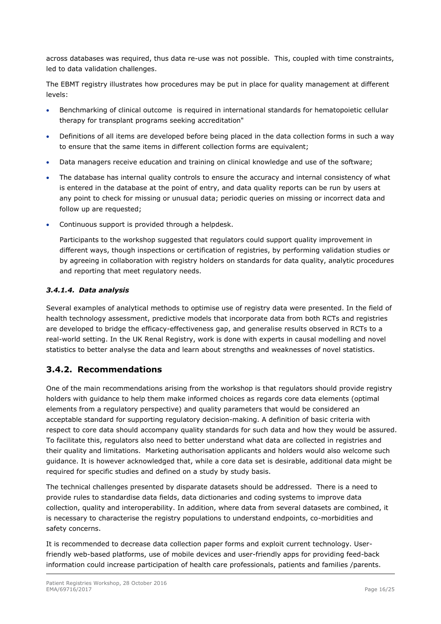across databases was required, thus data re-use was not possible. This, coupled with time constraints, led to data validation challenges.

The EBMT registry illustrates how procedures may be put in place for quality management at different levels:

- Benchmarking of clinical outcome is required in international standards for hematopoietic cellular therapy for transplant programs seeking accreditation"
- Definitions of all items are developed before being placed in the data collection forms in such a way to ensure that the same items in different collection forms are equivalent;
- Data managers receive education and training on clinical knowledge and use of the software;
- The database has internal quality controls to ensure the accuracy and internal consistency of what is entered in the database at the point of entry, and data quality reports can be run by users at any point to check for missing or unusual data; periodic queries on missing or incorrect data and follow up are requested;
- Continuous support is provided through a helpdesk.

Participants to the workshop suggested that regulators could support quality improvement in different ways, though inspections or certification of registries, by performing validation studies or by agreeing in collaboration with registry holders on standards for data quality, analytic procedures and reporting that meet regulatory needs.

#### <span id="page-15-0"></span>*3.4.1.4. Data analysis*

Several examples of analytical methods to optimise use of registry data were presented. In the field of health technology assessment, predictive models that incorporate data from both RCTs and registries are developed to bridge the efficacy-effectiveness gap, and generalise results observed in RCTs to a real-world setting. In the UK Renal Registry, work is done with experts in causal modelling and novel statistics to better analyse the data and learn about strengths and weaknesses of novel statistics.

### <span id="page-15-1"></span>**3.4.2. Recommendations**

One of the main recommendations arising from the workshop is that regulators should provide registry holders with guidance to help them make informed choices as regards core data elements (optimal elements from a regulatory perspective) and quality parameters that would be considered an acceptable standard for supporting regulatory decision-making. A definition of basic criteria with respect to core data should accompany quality standards for such data and how they would be assured. To facilitate this, regulators also need to better understand what data are collected in registries and their quality and limitations. Marketing authorisation applicants and holders would also welcome such guidance. It is however acknowledged that, while a core data set is desirable, additional data might be required for specific studies and defined on a study by study basis.

The technical challenges presented by disparate datasets should be addressed. There is a need to provide rules to standardise data fields, data dictionaries and coding systems to improve data collection, quality and interoperability. In addition, where data from several datasets are combined, it is necessary to characterise the registry populations to understand endpoints, co-morbidities and safety concerns.

It is recommended to decrease data collection paper forms and exploit current technology. Userfriendly web-based platforms, use of mobile devices and user-friendly apps for providing feed-back information could increase participation of health care professionals, patients and families /parents.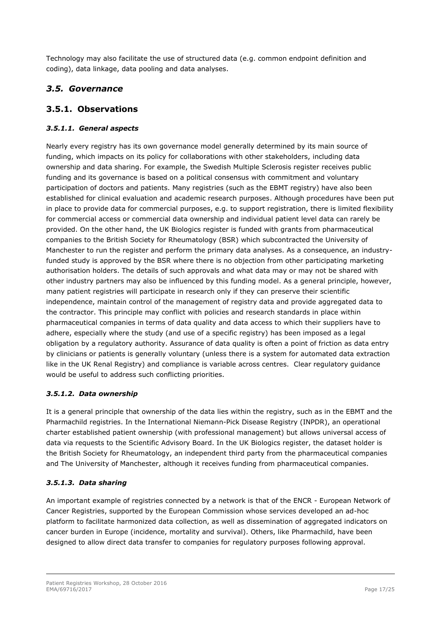Technology may also facilitate the use of structured data (e.g. common endpoint definition and coding), data linkage, data pooling and data analyses.

## <span id="page-16-0"></span>*3.5. Governance*

## <span id="page-16-1"></span>**3.5.1. Observations**

#### <span id="page-16-2"></span>*3.5.1.1. General aspects*

Nearly every registry has its own governance model generally determined by its main source of funding, which impacts on its policy for collaborations with other stakeholders, including data ownership and data sharing. For example, the Swedish Multiple Sclerosis register receives public funding and its governance is based on a political consensus with commitment and voluntary participation of doctors and patients. Many registries (such as the EBMT registry) have also been established for clinical evaluation and academic research purposes. Although procedures have been put in place to provide data for commercial purposes, e.g. to support registration, there is limited flexibility for commercial access or commercial data ownership and individual patient level data can rarely be provided. On the other hand, the UK Biologics register is funded with grants from pharmaceutical companies to the British Society for Rheumatology (BSR) which subcontracted the University of Manchester to run the register and perform the primary data analyses. As a consequence, an industryfunded study is approved by the BSR where there is no objection from other participating marketing authorisation holders. The details of such approvals and what data may or may not be shared with other industry partners may also be influenced by this funding model. As a general principle, however, many patient registries will participate in research only if they can preserve their scientific independence, maintain control of the management of registry data and provide aggregated data to the contractor. This principle may conflict with policies and research standards in place within pharmaceutical companies in terms of data quality and data access to which their suppliers have to adhere, especially where the study (and use of a specific registry) has been imposed as a legal obligation by a regulatory authority. Assurance of data quality is often a point of friction as data entry by clinicians or patients is generally voluntary (unless there is a system for automated data extraction like in the UK Renal Registry) and compliance is variable across centres. Clear regulatory guidance would be useful to address such conflicting priorities.

#### <span id="page-16-3"></span>*3.5.1.2. Data ownership*

It is a general principle that ownership of the data lies within the registry, such as in the EBMT and the Pharmachild registries. In the International Niemann-Pick Disease Registry (INPDR), an operational charter established patient ownership (with professional management) but allows universal access of data via requests to the Scientific Advisory Board. In the UK Biologics register, the dataset holder is the British Society for Rheumatology, an independent third party from the pharmaceutical companies and The University of Manchester, although it receives funding from pharmaceutical companies.

#### <span id="page-16-4"></span>*3.5.1.3. Data sharing*

An important example of registries connected by a network is that of the ENCR - European Network of Cancer Registries, supported by the European Commission whose services developed an ad-hoc platform to facilitate harmonized data collection, as well as dissemination of aggregated indicators on cancer burden in Europe (incidence, mortality and survival). Others, like Pharmachild, have been designed to allow direct data transfer to companies for regulatory purposes following approval.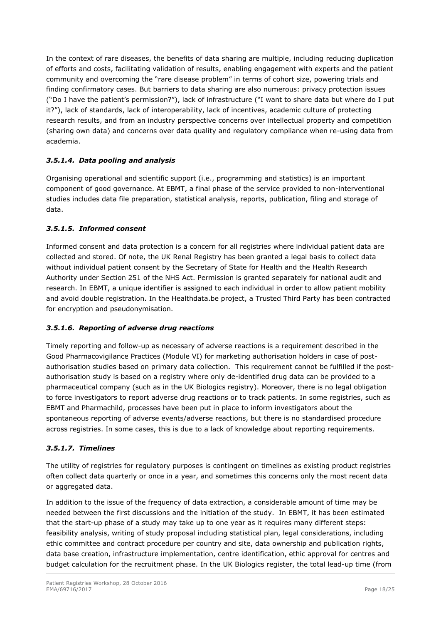In the context of rare diseases, the benefits of data sharing are multiple, including reducing duplication of efforts and costs, facilitating validation of results, enabling engagement with experts and the patient community and overcoming the "rare disease problem" in terms of cohort size, powering trials and finding confirmatory cases. But barriers to data sharing are also numerous: privacy protection issues ("Do I have the patient's permission?"), lack of infrastructure ("I want to share data but where do I put it?"), lack of standards, lack of interoperability, lack of incentives, academic culture of protecting research results, and from an industry perspective concerns over intellectual property and competition (sharing own data) and concerns over data quality and regulatory compliance when re-using data from academia.

#### <span id="page-17-0"></span>*3.5.1.4. Data pooling and analysis*

Organising operational and scientific support (i.e., programming and statistics) is an important component of good governance. At EBMT, a final phase of the service provided to non-interventional studies includes data file preparation, statistical analysis, reports, publication, filing and storage of data.

#### <span id="page-17-1"></span>*3.5.1.5. Informed consent*

Informed consent and data protection is a concern for all registries where individual patient data are collected and stored. Of note, the UK Renal Registry has been granted a legal basis to collect data without individual patient consent by the Secretary of State for Health and the Health Research Authority under Section 251 of the NHS Act. Permission is granted separately for national audit and research. In EBMT, a unique identifier is assigned to each individual in order to allow patient mobility and avoid double registration. In the Healthdata.be project, a Trusted Third Party has been contracted for encryption and pseudonymisation.

#### <span id="page-17-2"></span>*3.5.1.6. Reporting of adverse drug reactions*

Timely reporting and follow-up as necessary of adverse reactions is a requirement described in the Good Pharmacovigilance Practices (Module VI) for marketing authorisation holders in case of postauthorisation studies based on primary data collection. This requirement cannot be fulfilled if the postauthorisation study is based on a registry where only de-identified drug data can be provided to a pharmaceutical company (such as in the UK Biologics registry). Moreover, there is no legal obligation to force investigators to report adverse drug reactions or to track patients. In some registries, such as EBMT and Pharmachild, processes have been put in place to inform investigators about the spontaneous reporting of adverse events/adverse reactions, but there is no standardised procedure across registries. In some cases, this is due to a lack of knowledge about reporting requirements.

#### <span id="page-17-3"></span>*3.5.1.7. Timelines*

The utility of registries for regulatory purposes is contingent on timelines as existing product registries often collect data quarterly or once in a year, and sometimes this concerns only the most recent data or aggregated data.

In addition to the issue of the frequency of data extraction, a considerable amount of time may be needed between the first discussions and the initiation of the study. In EBMT, it has been estimated that the start-up phase of a study may take up to one year as it requires many different steps: feasibility analysis, writing of study proposal including statistical plan, legal considerations, including ethic committee and contract procedure per country and site, data ownership and publication rights, data base creation, infrastructure implementation, centre identification, ethic approval for centres and budget calculation for the recruitment phase. In the UK Biologics register, the total lead-up time (from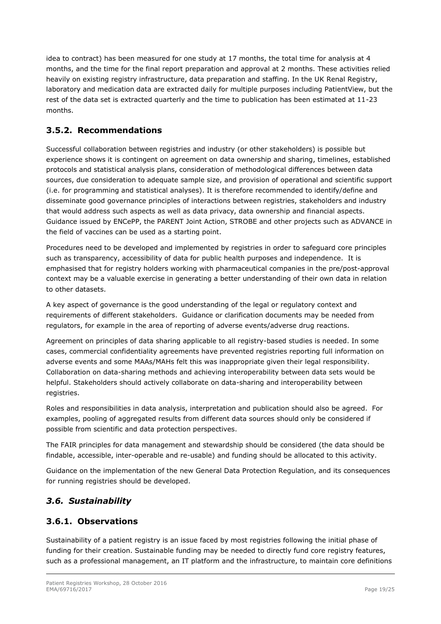idea to contract) has been measured for one study at 17 months, the total time for analysis at 4 months, and the time for the final report preparation and approval at 2 months. These activities relied heavily on existing registry infrastructure, data preparation and staffing. In the UK Renal Registry, laboratory and medication data are extracted daily for multiple purposes including PatientView, but the rest of the data set is extracted quarterly and the time to publication has been estimated at 11-23 months.

## <span id="page-18-0"></span>**3.5.2. Recommendations**

Successful collaboration between registries and industry (or other stakeholders) is possible but experience shows it is contingent on agreement on data ownership and sharing, timelines, established protocols and statistical analysis plans, consideration of methodological differences between data sources, due consideration to adequate sample size, and provision of operational and scientific support (i.e. for programming and statistical analyses). It is therefore recommended to identify/define and disseminate good governance principles of interactions between registries, stakeholders and industry that would address such aspects as well as data privacy, data ownership and financial aspects. Guidance issued by ENCePP, the PARENT Joint Action, STROBE and other projects such as ADVANCE in the field of vaccines can be used as a starting point.

Procedures need to be developed and implemented by registries in order to safeguard core principles such as transparency, accessibility of data for public health purposes and independence. It is emphasised that for registry holders working with pharmaceutical companies in the pre/post-approval context may be a valuable exercise in generating a better understanding of their own data in relation to other datasets.

A key aspect of governance is the good understanding of the legal or regulatory context and requirements of different stakeholders. Guidance or clarification documents may be needed from regulators, for example in the area of reporting of adverse events/adverse drug reactions.

Agreement on principles of data sharing applicable to all registry-based studies is needed. In some cases, commercial confidentiality agreements have prevented registries reporting full information on adverse events and some MAAs/MAHs felt this was inappropriate given their legal responsibility. Collaboration on data-sharing methods and achieving interoperability between data sets would be helpful. Stakeholders should actively collaborate on data-sharing and interoperability between registries.

Roles and responsibilities in data analysis, interpretation and publication should also be agreed. For examples, pooling of aggregated results from different data sources should only be considered if possible from scientific and data protection perspectives.

The FAIR principles for data management and stewardship should be considered (the data should be findable, accessible, inter-operable and re-usable) and funding should be allocated to this activity.

Guidance on the implementation of the new General Data Protection Regulation, and its consequences for running registries should be developed.

## <span id="page-18-1"></span>*3.6. Sustainability*

## <span id="page-18-2"></span>**3.6.1. Observations**

Sustainability of a patient registry is an issue faced by most registries following the initial phase of funding for their creation. Sustainable funding may be needed to directly fund core registry features, such as a professional management, an IT platform and the infrastructure, to maintain core definitions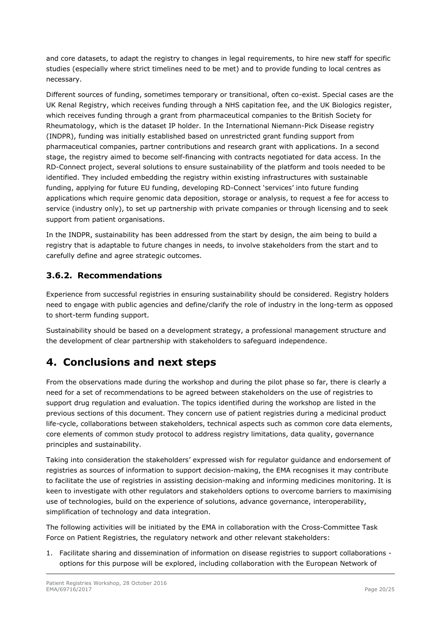and core datasets, to adapt the registry to changes in legal requirements, to hire new staff for specific studies (especially where strict timelines need to be met) and to provide funding to local centres as necessary.

Different sources of funding, sometimes temporary or transitional, often co-exist. Special cases are the UK Renal Registry, which receives funding through a NHS capitation fee, and the UK Biologics register, which receives funding through a grant from pharmaceutical companies to the British Society for Rheumatology, which is the dataset IP holder. In the International Niemann-Pick Disease registry (INDPR), funding was initially established based on unrestricted grant funding support from pharmaceutical companies, partner contributions and research grant with applications. In a second stage, the registry aimed to become self-financing with contracts negotiated for data access. In the RD-Connect project, several solutions to ensure sustainability of the platform and tools needed to be identified. They included embedding the registry within existing infrastructures with sustainable funding, applying for future EU funding, developing RD-Connect 'services' into future funding applications which require genomic data deposition, storage or analysis, to request a fee for access to service (industry only), to set up partnership with private companies or through licensing and to seek support from patient organisations.

In the INDPR, sustainability has been addressed from the start by design, the aim being to build a registry that is adaptable to future changes in needs, to involve stakeholders from the start and to carefully define and agree strategic outcomes.

## <span id="page-19-0"></span>**3.6.2. Recommendations**

Experience from successful registries in ensuring sustainability should be considered. Registry holders need to engage with public agencies and define/clarify the role of industry in the long-term as opposed to short-term funding support.

Sustainability should be based on a development strategy, a professional management structure and the development of clear partnership with stakeholders to safeguard independence.

## <span id="page-19-1"></span>**4. Conclusions and next steps**

From the observations made during the workshop and during the pilot phase so far, there is clearly a need for a set of recommendations to be agreed between stakeholders on the use of registries to support drug regulation and evaluation. The topics identified during the workshop are listed in the previous sections of this document. They concern use of patient registries during a medicinal product life-cycle, collaborations between stakeholders, technical aspects such as common core data elements, core elements of common study protocol to address registry limitations, data quality, governance principles and sustainability.

Taking into consideration the stakeholders' expressed wish for regulator guidance and endorsement of registries as sources of information to support decision-making, the EMA recognises it may contribute to facilitate the use of registries in assisting decision-making and informing medicines monitoring. It is keen to investigate with other regulators and stakeholders options to overcome barriers to maximising use of technologies, build on the experience of solutions, advance governance, interoperability, simplification of technology and data integration.

The following activities will be initiated by the EMA in collaboration with the Cross-Committee Task Force on Patient Registries, the regulatory network and other relevant stakeholders:

1. Facilitate sharing and dissemination of information on disease registries to support collaborations options for this purpose will be explored, including collaboration with the European Network of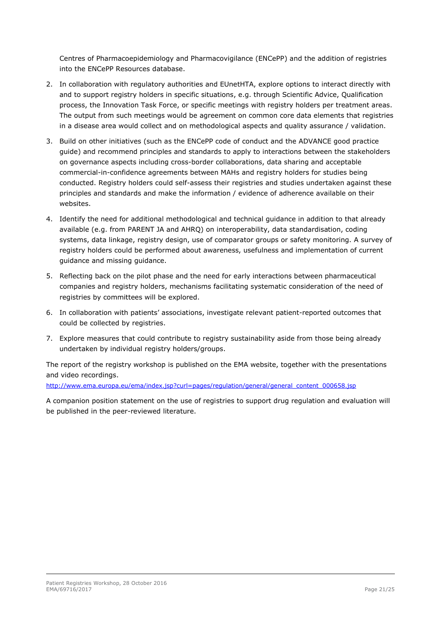Centres of Pharmacoepidemiology and Pharmacovigilance (ENCePP) and the addition of registries into the ENCePP Resources database.

- 2. In collaboration with regulatory authorities and EUnetHTA, explore options to interact directly with and to support registry holders in specific situations, e.g. through Scientific Advice, Qualification process, the Innovation Task Force, or specific meetings with registry holders per treatment areas. The output from such meetings would be agreement on common core data elements that registries in a disease area would collect and on methodological aspects and quality assurance / validation.
- 3. Build on other initiatives (such as the ENCePP code of conduct and the ADVANCE good practice guide) and recommend principles and standards to apply to interactions between the stakeholders on governance aspects including cross-border collaborations, data sharing and acceptable commercial-in-confidence agreements between MAHs and registry holders for studies being conducted. Registry holders could self-assess their registries and studies undertaken against these principles and standards and make the information / evidence of adherence available on their websites.
- 4. Identify the need for additional methodological and technical guidance in addition to that already available (e.g. from PARENT JA and AHRQ) on interoperability, data standardisation, coding systems, data linkage, registry design, use of comparator groups or safety monitoring. A survey of registry holders could be performed about awareness, usefulness and implementation of current guidance and missing guidance.
- 5. Reflecting back on the pilot phase and the need for early interactions between pharmaceutical companies and registry holders, mechanisms facilitating systematic consideration of the need of registries by committees will be explored.
- 6. In collaboration with patients' associations, investigate relevant patient-reported outcomes that could be collected by registries.
- 7. Explore measures that could contribute to registry sustainability aside from those being already undertaken by individual registry holders/groups.

The report of the registry workshop is published on the EMA website, together with the presentations and video recordings.

[http://www.ema.europa.eu/ema/index.jsp?curl=pages/regulation/general/general\\_content\\_000658.jsp](http://www.ema.europa.eu/ema/index.jsp?curl=pages/regulation/general/general_content_000658.jsp)

A companion position statement on the use of registries to support drug regulation and evaluation will be published in the peer-reviewed literature.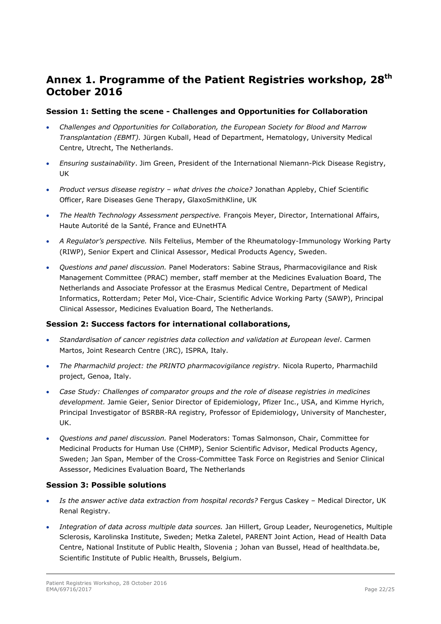## <span id="page-21-0"></span>**Annex 1. Programme of the Patient Registries workshop, 28th October 2016**

#### **Session 1: Setting the scene - Challenges and Opportunities for Collaboration**

- *Challenges and Opportunities for Collaboration, the European Society for Blood and Marrow Transplantation (EBMT).* Jürgen Kuball, Head of Department, Hematology, University Medical Centre, Utrecht, The Netherlands.
- *Ensuring sustainability*. Jim Green, President of the International Niemann-Pick Disease Registry, UK
- *Product versus disease registry – what drives the choice?* Jonathan Appleby, Chief Scientific Officer, Rare Diseases Gene Therapy, GlaxoSmithKline, UK
- *The Health Technology Assessment perspective.* François Meyer, Director, International Affairs, Haute Autorité de la Santé, France and EUnetHTA
- *A Regulator's perspective.* Nils Feltelius, Member of the Rheumatology-Immunology Working Party (RIWP), Senior Expert and Clinical Assessor, Medical Products Agency, Sweden.
- *Questions and panel discussion.* Panel Moderators: Sabine Straus, Pharmacovigilance and Risk Management Committee (PRAC) member, staff member at the Medicines Evaluation Board, The Netherlands and Associate Professor at the Erasmus Medical Centre, Department of Medical Informatics, Rotterdam; Peter Mol, Vice-Chair, Scientific Advice Working Party (SAWP), Principal Clinical Assessor, Medicines Evaluation Board, The Netherlands.

#### **Session 2: Success factors for international collaborations,**

- *Standardisation of cancer registries data collection and validation at European level*. Carmen Martos, Joint Research Centre (JRC), ISPRA, Italy.
- *The Pharmachild project: the PRINTO pharmacovigilance registry.* Nicola Ruperto, Pharmachild project, Genoa, Italy.
- *Case Study: Challenges of comparator groups and the role of disease registries in medicines development.* Jamie Geier, Senior Director of Epidemiology, Pfizer Inc., USA, and Kimme Hyrich, Principal Investigator of BSRBR-RA registry*,* Professor of Epidemiology, University of Manchester, UK.
- *Questions and panel discussion.* Panel Moderators: Tomas Salmonson, Chair, Committee for Medicinal Products for Human Use (CHMP), Senior Scientific Advisor, Medical Products Agency, Sweden; Jan Span, Member of the Cross-Committee Task Force on Registries and Senior Clinical Assessor, Medicines Evaluation Board, The Netherlands

#### **Session 3: Possible solutions**

- *Is the answer active data extraction from hospital records?* Fergus Caskey Medical Director, UK Renal Registry.
- *Integration of data across multiple data sources.* Jan Hillert, Group Leader, Neurogenetics, Multiple Sclerosis, Karolinska Institute, Sweden; Metka Zaletel, PARENT Joint Action, Head of Health Data Centre, National Institute of Public Health, Slovenia ; Johan van Bussel, Head of healthdata.be, Scientific Institute of Public Health, Brussels, Belgium.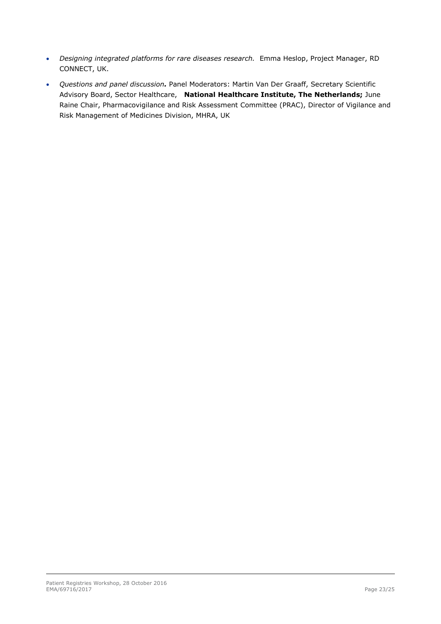- *Designing integrated platforms for rare diseases research.* Emma Heslop, Project Manager, RD CONNECT, UK.
- *Questions and panel discussion.* Panel Moderators: Martin Van Der Graaff, Secretary Scientific Advisory Board, Sector Healthcare, **National Healthcare Institute, The Netherlands;** June Raine Chair, Pharmacovigilance and Risk Assessment Committee (PRAC), Director of Vigilance and Risk Management of Medicines Division, MHRA, UK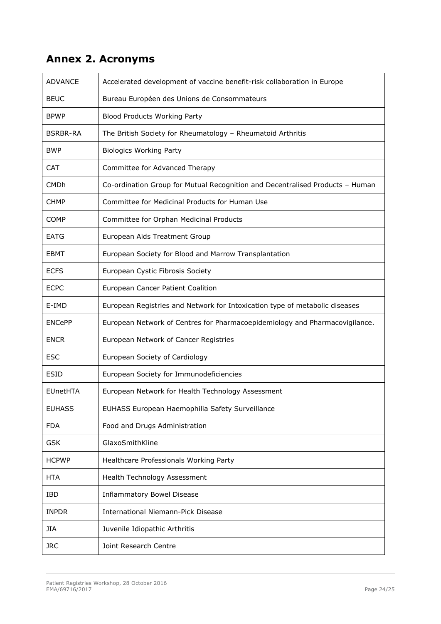# <span id="page-23-0"></span>**Annex 2. Acronyms**

| <b>ADVANCE</b>  | Accelerated development of vaccine benefit-risk collaboration in Europe       |
|-----------------|-------------------------------------------------------------------------------|
| <b>BEUC</b>     | Bureau Européen des Unions de Consommateurs                                   |
| <b>BPWP</b>     | <b>Blood Products Working Party</b>                                           |
| <b>BSRBR-RA</b> | The British Society for Rheumatology - Rheumatoid Arthritis                   |
| <b>BWP</b>      | <b>Biologics Working Party</b>                                                |
| <b>CAT</b>      | Committee for Advanced Therapy                                                |
| <b>CMDh</b>     | Co-ordination Group for Mutual Recognition and Decentralised Products - Human |
| CHMP            | Committee for Medicinal Products for Human Use                                |
| COMP            | Committee for Orphan Medicinal Products                                       |
| <b>EATG</b>     | European Aids Treatment Group                                                 |
| <b>EBMT</b>     | European Society for Blood and Marrow Transplantation                         |
| <b>ECFS</b>     | European Cystic Fibrosis Society                                              |
| <b>ECPC</b>     | European Cancer Patient Coalition                                             |
| E-IMD           | European Registries and Network for Intoxication type of metabolic diseases   |
| <b>ENCePP</b>   | European Network of Centres for Pharmacoepidemiology and Pharmacovigilance.   |
| <b>ENCR</b>     | European Network of Cancer Registries                                         |
| <b>ESC</b>      | European Society of Cardiology                                                |
| <b>ESID</b>     | European Society for Immunodeficiencies                                       |
| <b>EUnetHTA</b> | European Network for Health Technology Assessment                             |
| <b>EUHASS</b>   | EUHASS European Haemophilia Safety Surveillance                               |
| <b>FDA</b>      | Food and Drugs Administration                                                 |
| <b>GSK</b>      | GlaxoSmithKline                                                               |
| <b>HCPWP</b>    | Healthcare Professionals Working Party                                        |
| <b>HTA</b>      | Health Technology Assessment                                                  |
| IBD             | <b>Inflammatory Bowel Disease</b>                                             |
| <b>INPDR</b>    | <b>International Niemann-Pick Disease</b>                                     |
| JIA             | Juvenile Idiopathic Arthritis                                                 |
| <b>JRC</b>      | Joint Research Centre                                                         |